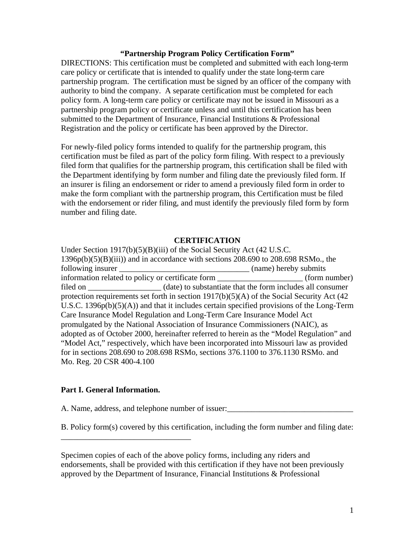### **"Partnership Program Policy Certification Form"**

DIRECTIONS: This certification must be completed and submitted with each long-term care policy or certificate that is intended to qualify under the state long-term care partnership program. The certification must be signed by an officer of the company with authority to bind the company. A separate certification must be completed for each policy form. A long-term care policy or certificate may not be issued in Missouri as a partnership program policy or certificate unless and until this certification has been submitted to the Department of Insurance, Financial Institutions & Professional Registration and the policy or certificate has been approved by the Director.

For newly-filed policy forms intended to qualify for the partnership program, this certification must be filed as part of the policy form filing. With respect to a previously filed form that qualifies for the partnership program, this certification shall be filed with the Department identifying by form number and filing date the previously filed form. If an insurer is filing an endorsement or rider to amend a previously filed form in order to make the form compliant with the partnership program, this Certification must be filed with the endorsement or rider filing, and must identify the previously filed form by form number and filing date.

### **CERTIFICATION**

Under Section 1917(b)(5)(B)(iii) of the Social Security Act (42 U.S.C.  $1396p(b)(5)(B)(iii)$  and in accordance with sections 208.690 to 208.698 RSMo., the following insurer  $(\text{name})$  hereby submits information related to policy or certificate form  $(form number)$ filed on \_\_\_\_\_\_\_\_\_\_\_\_\_\_\_\_\_\_ (date) to substantiate that the form includes all consumer protection requirements set forth in section 1917(b)(5)(A) of the Social Security Act (42 U.S.C. 1396p(b)(5)(A)) and that it includes certain specified provisions of the Long-Term Care Insurance Model Regulation and Long-Term Care Insurance Model Act promulgated by the National Association of Insurance Commissioners (NAIC), as adopted as of October 2000, hereinafter referred to herein as the "Model Regulation" and "Model Act," respectively, which have been incorporated into Missouri law as provided for in sections 208.690 to 208.698 RSMo, sections 376.1100 to 376.1130 RSMo. and Mo. Reg. 20 CSR 400-4.100

### **Part I. General Information.**

\_\_\_\_\_\_\_\_\_\_\_\_\_\_\_\_\_\_\_\_\_\_\_\_\_\_\_\_\_\_\_\_

A. Name, address, and telephone number of issuer:

B. Policy form(s) covered by this certification, including the form number and filing date:

Specimen copies of each of the above policy forms, including any riders and endorsements, shall be provided with this certification if they have not been previously approved by the Department of Insurance, Financial Institutions & Professional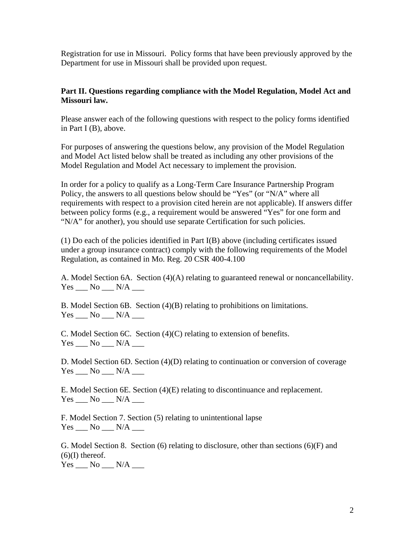Registration for use in Missouri. Policy forms that have been previously approved by the Department for use in Missouri shall be provided upon request.

# **Part II. Questions regarding compliance with the Model Regulation, Model Act and Missouri law.**

Please answer each of the following questions with respect to the policy forms identified in Part I (B), above.

For purposes of answering the questions below, any provision of the Model Regulation and Model Act listed below shall be treated as including any other provisions of the Model Regulation and Model Act necessary to implement the provision.

In order for a policy to qualify as a Long-Term Care Insurance Partnership Program Policy, the answers to all questions below should be "Yes" (or "N/A" where all requirements with respect to a provision cited herein are not applicable). If answers differ between policy forms (e.g., a requirement would be answered "Yes" for one form and "N/A" for another), you should use separate Certification for such policies.

(1) Do each of the policies identified in Part I(B) above (including certificates issued under a group insurance contract) comply with the following requirements of the Model Regulation, as contained in Mo. Reg. 20 CSR 400-4.100

A. Model Section 6A. Section (4)(A) relating to guaranteed renewal or noncancellability.  $Yes$  No  $N/A$   $\qquad$ 

B. Model Section 6B. Section (4)(B) relating to prohibitions on limitations.  $Yes \_\_ No \_\_ N/A \_\_$ 

C. Model Section 6C. Section (4)(C) relating to extension of benefits.  $Yes \_\_ No \_\_ N/A \_\_$ 

D. Model Section 6D. Section (4)(D) relating to continuation or conversion of coverage  $Yes \_\_ No \_\_ N/A \_\_$ 

E. Model Section 6E. Section (4)(E) relating to discontinuance and replacement.  $Yes$   $No$   $N/A$ 

F. Model Section 7. Section (5) relating to unintentional lapse  $Yes \_\_ No \_\_ N/A \_\_$ 

G. Model Section 8. Section (6) relating to disclosure, other than sections (6)(F) and  $(6)(I)$  thereof. Yes \_\_\_ No \_\_\_ N/A \_\_\_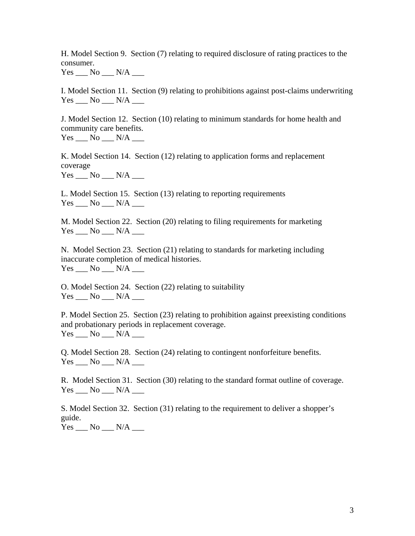H. Model Section 9. Section (7) relating to required disclosure of rating practices to the consumer.

 $Yes$  No  $N/A$   $\qquad$ 

I. Model Section 11. Section (9) relating to prohibitions against post-claims underwriting  $Yes \_\_ No \_\_ N/A \_\_$ 

J. Model Section 12. Section (10) relating to minimum standards for home health and community care benefits.

 $Yes \_\_ No \_\_ N/A \_\_$ 

K. Model Section 14. Section (12) relating to application forms and replacement coverage  $Yes \_\_ No \_\_ N/A \_\_$ 

L. Model Section 15. Section (13) relating to reporting requirements  $Yes \_\_ No \_\_ N/A \_\_$ 

M. Model Section 22. Section (20) relating to filing requirements for marketing  $Yes$   $No$   $N/A$   $\qquad$ 

N. Model Section 23. Section (21) relating to standards for marketing including inaccurate completion of medical histories. Yes No N/A

O. Model Section 24. Section (22) relating to suitability Yes \_\_\_ No \_\_\_ N/A \_\_\_

P. Model Section 25. Section (23) relating to prohibition against preexisting conditions and probationary periods in replacement coverage. Yes \_\_\_ No \_\_\_ N/A \_\_\_

Q. Model Section 28. Section (24) relating to contingent nonforfeiture benefits.  $Yes$   $No$   $N/A$ 

R. Model Section 31. Section (30) relating to the standard format outline of coverage.  $Yes \_\_ No \_\_ N/A \_\_$ 

S. Model Section 32. Section (31) relating to the requirement to deliver a shopper's guide.

 $Yes \_\_ No \_\_ N/A \_\_$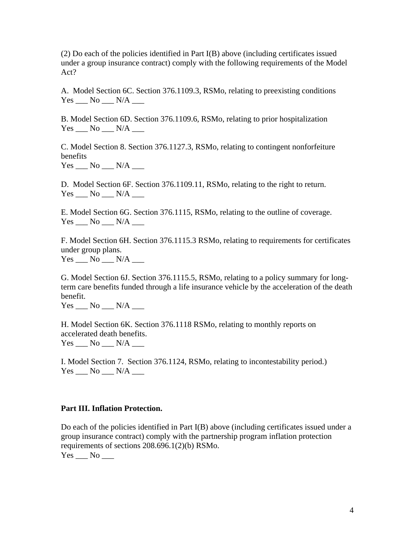(2) Do each of the policies identified in Part I(B) above (including certificates issued under a group insurance contract) comply with the following requirements of the Model Act?

A. Model Section 6C. Section 376.1109.3, RSMo, relating to preexisting conditions  $Yes \_\_ No \_\_ N/A \_\_$ 

B. Model Section 6D. Section 376.1109.6, RSMo, relating to prior hospitalization  $Yes \_\_ No \_\_ N/A \_\_$ 

C. Model Section 8. Section 376.1127.3, RSMo, relating to contingent nonforfeiture benefits

 $Yes \_\_ No \_\_ N/A \_\_$ 

D. Model Section 6F. Section 376.1109.11, RSMo, relating to the right to return.  $Yes$  No  $N/A$   $\qquad$ 

E. Model Section 6G. Section 376.1115, RSMo, relating to the outline of coverage.  $Yes \_\_ No \_\_ N/A \_\_$ 

F. Model Section 6H. Section 376.1115.3 RSMo, relating to requirements for certificates under group plans.  $Yes \_\_ No \_\_ N/A \_\_$ 

G. Model Section 6J. Section 376.1115.5, RSMo, relating to a policy summary for longterm care benefits funded through a life insurance vehicle by the acceleration of the death benefit.

 $Yes$   $No$   $N/A$ 

H. Model Section 6K. Section 376.1118 RSMo, relating to monthly reports on accelerated death benefits.  $Yes \_\_ No \_\_ N/A \_\_$ 

I. Model Section 7. Section 376.1124, RSMo, relating to incontestability period.)  $Yes \_\_ No \_\_ N/A \_\_$ 

## **Part III. Inflation Protection.**

Do each of the policies identified in Part I(B) above (including certificates issued under a group insurance contract) comply with the partnership program inflation protection requirements of sections 208.696.1(2)(b) RSMo.

 $Yes \_\_ No \_\_$